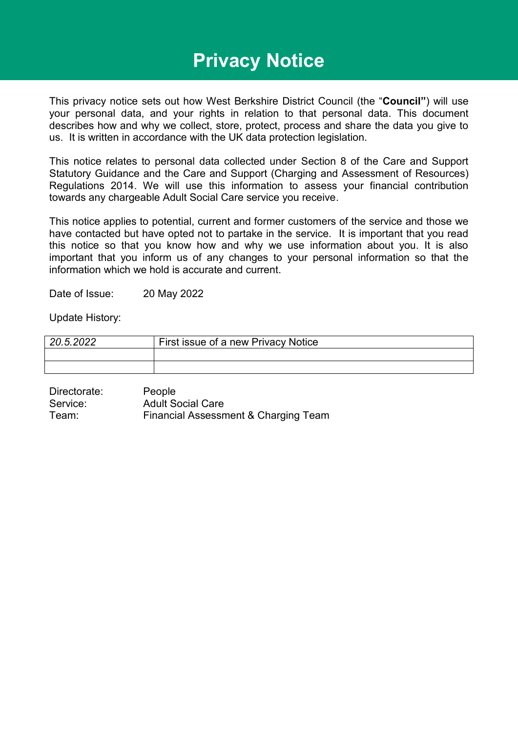# **Privacy Notice**

This privacy notice sets out how West Berkshire District Council (the "**Council"**) will use your personal data, and your rights in relation to that personal data. This document describes how and why we collect, store, protect, process and share the data you give to us. It is written in accordance with the UK data protection legislation.

This notice relates to personal data collected under Section 8 of the Care and Support Statutory Guidance and the Care and Support (Charging and Assessment of Resources) Regulations 2014. We will use this information to assess your financial contribution towards any chargeable Adult Social Care service you receive.

This notice applies to potential, current and former customers of the service and those we have contacted but have opted not to partake in the service. It is important that you read this notice so that you know how and why we use information about you. It is also important that you inform us of any changes to your personal information so that the information which we hold is accurate and current.

Date of Issue: 20 May 2022

Update History:

| 20.5.2022 | First issue of a new Privacy Notice |  |
|-----------|-------------------------------------|--|
|           |                                     |  |
|           |                                     |  |

| Directorate: | People                               |
|--------------|--------------------------------------|
| Service:     | <b>Adult Social Care</b>             |
| Team:        | Financial Assessment & Charging Team |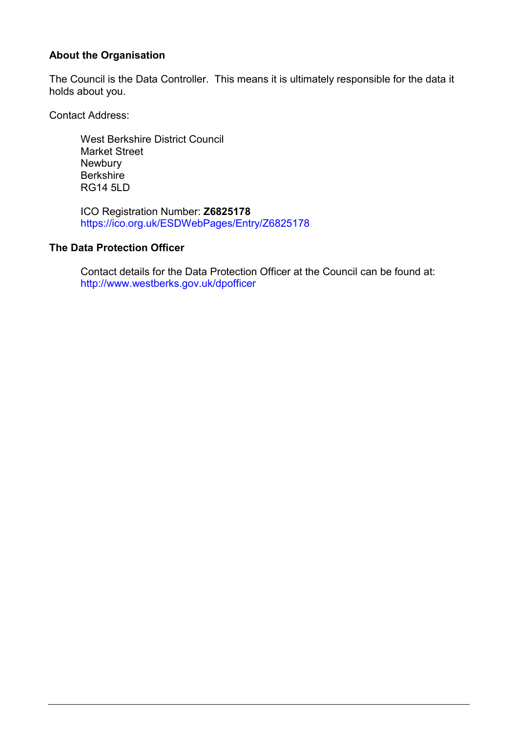#### **About the Organisation**

The Council is the Data Controller. This means it is ultimately responsible for the data it holds about you.

Contact Address:

West Berkshire District Council Market Street **Newbury Berkshire** RG14 5LD

ICO Registration Number: **Z6825178**  <https://ico.org.uk/ESDWebPages/Entry/Z6825178>

#### **The Data Protection Officer**

Contact details for the Data Protection Officer at the Council can be found at: <http://www.westberks.gov.uk/dpofficer>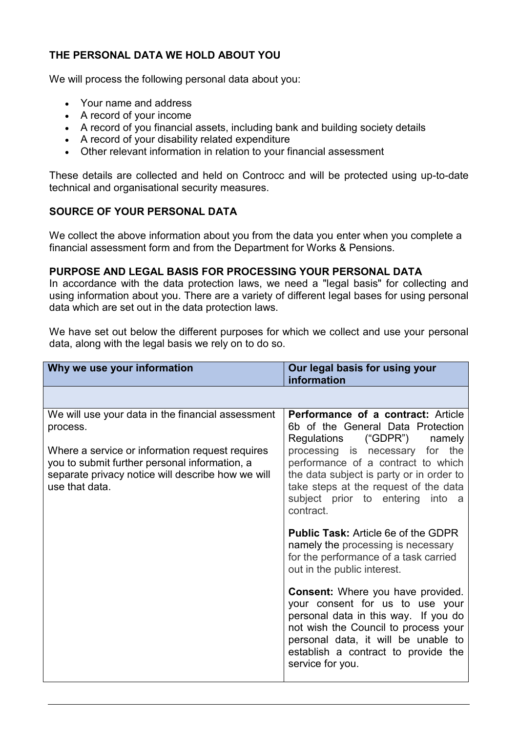## **THE PERSONAL DATA WE HOLD ABOUT YOU**

We will process the following personal data about you:

- Your name and address
- A record of your income
- A record of you financial assets, including bank and building society details
- A record of your disability related expenditure
- Other relevant information in relation to your financial assessment

These details are collected and held on Controcc and will be protected using up-to-date technical and organisational security measures.

### **SOURCE OF YOUR PERSONAL DATA**

We collect the above information about you from the data you enter when you complete a financial assessment form and from the Department for Works & Pensions.

#### **PURPOSE AND LEGAL BASIS FOR PROCESSING YOUR PERSONAL DATA**

In accordance with the data protection laws, we need a "legal basis" for collecting and using information about you. There are a variety of different legal bases for using personal data which are set out in the data protection laws.

We have set out below the different purposes for which we collect and use your personal data, along with the legal basis we rely on to do so.

| Why we use your information                                                                                                                                                                                                              | Our legal basis for using your<br>information                                                                                                                                                                                                                                                                                                                                                                                                                                                                                                                                                                                                          |
|------------------------------------------------------------------------------------------------------------------------------------------------------------------------------------------------------------------------------------------|--------------------------------------------------------------------------------------------------------------------------------------------------------------------------------------------------------------------------------------------------------------------------------------------------------------------------------------------------------------------------------------------------------------------------------------------------------------------------------------------------------------------------------------------------------------------------------------------------------------------------------------------------------|
|                                                                                                                                                                                                                                          |                                                                                                                                                                                                                                                                                                                                                                                                                                                                                                                                                                                                                                                        |
| We will use your data in the financial assessment<br>process.<br>Where a service or information request requires<br>you to submit further personal information, a<br>separate privacy notice will describe how we will<br>use that data. | Performance of a contract: Article<br>6b of the General Data Protection<br>("GDPR")<br>Regulations<br>namely<br>processing is necessary for the<br>performance of a contract to which<br>the data subject is party or in order to<br>take steps at the request of the data<br>subject prior to entering into a<br>contract.<br><b>Public Task: Article 6e of the GDPR</b><br>namely the processing is necessary<br>for the performance of a task carried<br>out in the public interest.<br><b>Consent:</b> Where you have provided.<br>your consent for us to use your<br>personal data in this way. If you do<br>not wish the Council to process your |
|                                                                                                                                                                                                                                          | personal data, it will be unable to<br>establish a contract to provide the<br>service for you.                                                                                                                                                                                                                                                                                                                                                                                                                                                                                                                                                         |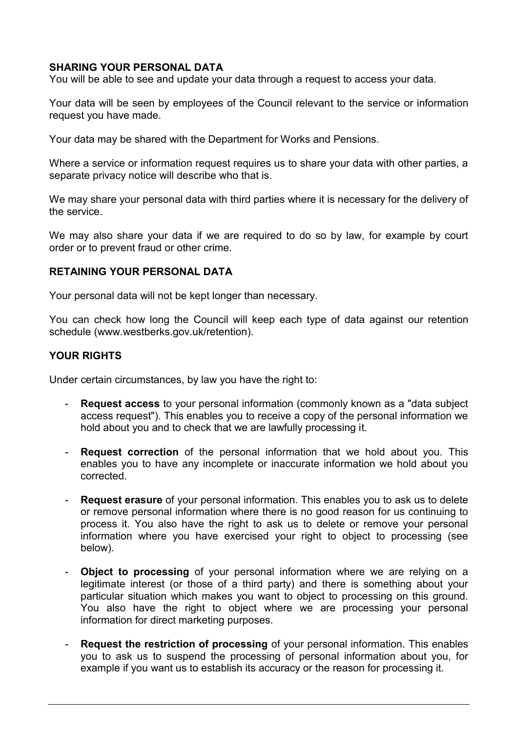#### **SHARING YOUR PERSONAL DATA**

You will be able to see and update your data through a request to access your data.

Your data will be seen by employees of the Council relevant to the service or information request you have made.

Your data may be shared with the Department for Works and Pensions.

Where a service or information request requires us to share your data with other parties, a separate privacy notice will describe who that is.

We may share your personal data with third parties where it is necessary for the delivery of the service.

We may also share your data if we are required to do so by law, for example by court order or to prevent fraud or other crime.

#### **RETAINING YOUR PERSONAL DATA**

Your personal data will not be kept longer than necessary.

You can check how long the Council will keep each type of data against our retention schedule (www.westberks.gov.uk/retention).

#### **YOUR RIGHTS**

Under certain circumstances, by law you have the right to:

- **Request access** to your personal information (commonly known as a "data subject access request"). This enables you to receive a copy of the personal information we hold about you and to check that we are lawfully processing it.
- **Request correction** of the personal information that we hold about you. This enables you to have any incomplete or inaccurate information we hold about you corrected.
- **Request erasure** of your personal information. This enables you to ask us to delete or remove personal information where there is no good reason for us continuing to process it. You also have the right to ask us to delete or remove your personal information where you have exercised your right to object to processing (see below).
- **Object to processing** of your personal information where we are relying on a legitimate interest (or those of a third party) and there is something about your particular situation which makes you want to object to processing on this ground. You also have the right to object where we are processing your personal information for direct marketing purposes.
- **Request the restriction of processing** of your personal information. This enables you to ask us to suspend the processing of personal information about you, for example if you want us to establish its accuracy or the reason for processing it.